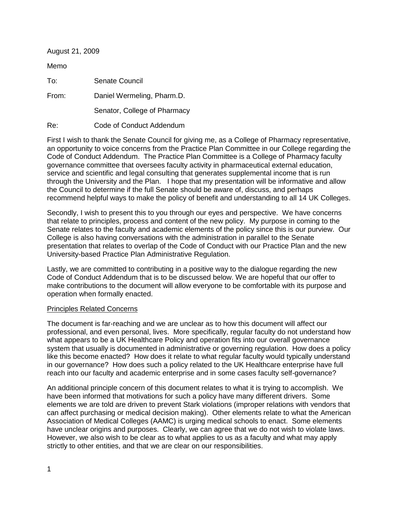| August 21, 2009 |                              |
|-----------------|------------------------------|
| Memo            |                              |
| To:             | Senate Council               |
| From:           | Daniel Wermeling, Pharm.D.   |
|                 | Senator, College of Pharmacy |
| Re:             | Code of Conduct Addendum     |

First I wish to thank the Senate Council for giving me, as a College of Pharmacy representative, an opportunity to voice concerns from the Practice Plan Committee in our College regarding the Code of Conduct Addendum. The Practice Plan Committee is a College of Pharmacy faculty governance committee that oversees faculty activity in pharmaceutical external education, service and scientific and legal consulting that generates supplemental income that is run through the University and the Plan. I hope that my presentation will be informative and allow the Council to determine if the full Senate should be aware of, discuss, and perhaps recommend helpful ways to make the policy of benefit and understanding to all 14 UK Colleges.

Secondly, I wish to present this to you through our eyes and perspective. We have concerns that relate to principles, process and content of the new policy. My purpose in coming to the Senate relates to the faculty and academic elements of the policy since this is our purview. Our College is also having conversations with the administration in parallel to the Senate presentation that relates to overlap of the Code of Conduct with our Practice Plan and the new University-based Practice Plan Administrative Regulation.

Lastly, we are committed to contributing in a positive way to the dialogue regarding the new Code of Conduct Addendum that is to be discussed below. We are hopeful that our offer to make contributions to the document will allow everyone to be comfortable with its purpose and operation when formally enacted.

## Principles Related Concerns

The document is far-reaching and we are unclear as to how this document will affect our professional, and even personal, lives. More specifically, regular faculty do not understand how what appears to be a UK Healthcare Policy and operation fits into our overall governance system that usually is documented in administrative or governing regulation. How does a policy like this become enacted? How does it relate to what regular faculty would typically understand in our governance? How does such a policy related to the UK Healthcare enterprise have full reach into our faculty and academic enterprise and in some cases faculty self-governance?

An additional principle concern of this document relates to what it is trying to accomplish. We have been informed that motivations for such a policy have many different drivers. Some elements we are told are driven to prevent Stark violations (improper relations with vendors that can affect purchasing or medical decision making). Other elements relate to what the American Association of Medical Colleges (AAMC) is urging medical schools to enact. Some elements have unclear origins and purposes. Clearly, we can agree that we do not wish to violate laws. However, we also wish to be clear as to what applies to us as a faculty and what may apply strictly to other entities, and that we are clear on our responsibilities.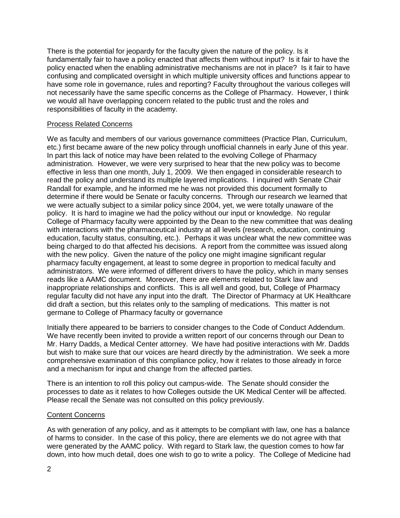There is the potential for jeopardy for the faculty given the nature of the policy. Is it fundamentally fair to have a policy enacted that affects them without input? Is it fair to have the policy enacted when the enabling administrative mechanisms are not in place? Is it fair to have confusing and complicated oversight in which multiple university offices and functions appear to have some role in governance, rules and reporting? Faculty throughout the various colleges will not necessarily have the same specific concerns as the College of Pharmacy. However, I think we would all have overlapping concern related to the public trust and the roles and responsibilities of faculty in the academy.

## Process Related Concerns

We as faculty and members of our various governance committees (Practice Plan, Curriculum, etc.) first became aware of the new policy through unofficial channels in early June of this year. In part this lack of notice may have been related to the evolving College of Pharmacy administration. However, we were very surprised to hear that the new policy was to become effective in less than one month, July 1, 2009. We then engaged in considerable research to read the policy and understand its multiple layered implications. I inquired with Senate Chair Randall for example, and he informed me he was not provided this document formally to determine if there would be Senate or faculty concerns. Through our research we learned that we were actually subject to a similar policy since 2004, yet, we were totally unaware of the policy. It is hard to imagine we had the policy without our input or knowledge. No regular College of Pharmacy faculty were appointed by the Dean to the new committee that was dealing with interactions with the pharmaceutical industry at all levels (research, education, continuing education, faculty status, consulting, etc.). Perhaps it was unclear what the new committee was being charged to do that affected his decisions. A report from the committee was issued along with the new policy. Given the nature of the policy one might imagine significant regular pharmacy faculty engagement, at least to some degree in proportion to medical faculty and administrators. We were informed of different drivers to have the policy, which in many senses reads like a AAMC document. Moreover, there are elements related to Stark law and inappropriate relationships and conflicts. This is all well and good, but, College of Pharmacy regular faculty did not have any input into the draft. The Director of Pharmacy at UK Healthcare did draft a section, but this relates only to the sampling of medications. This matter is not germane to College of Pharmacy faculty or governance

Initially there appeared to be barriers to consider changes to the Code of Conduct Addendum. We have recently been invited to provide a written report of our concerns through our Dean to Mr. Harry Dadds, a Medical Center attorney. We have had positive interactions with Mr. Dadds but wish to make sure that our voices are heard directly by the administration. We seek a more comprehensive examination of this compliance policy, how it relates to those already in force and a mechanism for input and change from the affected parties.

There is an intention to roll this policy out campus-wide. The Senate should consider the processes to date as it relates to how Colleges outside the UK Medical Center will be affected. Please recall the Senate was not consulted on this policy previously.

## Content Concerns

As with generation of any policy, and as it attempts to be compliant with law, one has a balance of harms to consider. In the case of this policy, there are elements we do not agree with that were generated by the AAMC policy. With regard to Stark law, the question comes to how far down, into how much detail, does one wish to go to write a policy. The College of Medicine had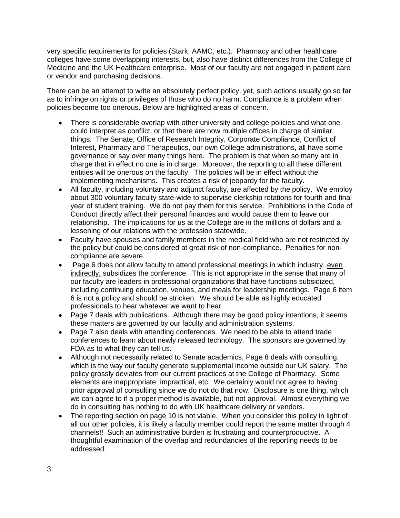very specific requirements for policies (Stark, AAMC, etc.). Pharmacy and other healthcare colleges have some overlapping interests, but, also have distinct differences from the College of Medicine and the UK Healthcare enterprise. Most of our faculty are not engaged in patient care or vendor and purchasing decisions.

There can be an attempt to write an absolutely perfect policy, yet, such actions usually go so far as to infringe on rights or privileges of those who do no harm. Compliance is a problem when policies become too onerous. Below are highlighted areas of concern.

- There is considerable overlap with other university and college policies and what one could interpret as conflict, or that there are now multiple offices in charge of similar things. The Senate, Office of Research Integrity, Corporate Compliance, Conflict of Interest, Pharmacy and Therapeutics, our own College administrations, all have some governance or say over many things here. The problem is that when so many are in charge that in effect no one is in charge. Moreover, the reporting to all these different entities will be onerous on the faculty. The policies will be in effect without the implementing mechanisms. This creates a risk of jeopardy for the faculty.
- All faculty, including voluntary and adjunct faculty, are affected by the policy. We employ about 300 voluntary faculty state-wide to supervise clerkship rotations for fourth and final year of student training. We do not pay them for this service. Prohibitions in the Code of Conduct directly affect their personal finances and would cause them to leave our relationship. The implications for us at the College are in the millions of dollars and a lessening of our relations with the profession statewide.
- Faculty have spouses and family members in the medical field who are not restricted by the policy but could be considered at great risk of non-compliance. Penalties for noncompliance are severe.
- Page 6 does not allow faculty to attend professional meetings in which industry, even  $\bullet$ indirectly, subsidizes the conference. This is not appropriate in the sense that many of our faculty are leaders in professional organizations that have functions subsidized, including continuing education, venues, and meals for leadership meetings. Page 6 item 6 is not a policy and should be stricken. We should be able as highly educated professionals to hear whatever we want to hear.
- Page 7 deals with publications. Although there may be good policy intentions, it seems these matters are governed by our faculty and administration systems.
- Page 7 also deals with attending conferences. We need to be able to attend trade conferences to learn about newly released technology. The sponsors are governed by FDA as to what they can tell us.
- Although not necessarily related to Senate academics, Page 8 deals with consulting, which is the way our faculty generate supplemental income outside our UK salary. The policy grossly deviates from our current practices at the College of Pharmacy. Some elements are inappropriate, impractical, etc. We certainly would not agree to having prior approval of consulting since we do not do that now. Disclosure is one thing, which we can agree to if a proper method is available, but not approval. Almost everything we do in consulting has nothing to do with UK healthcare delivery or vendors.
- The reporting section on page 10 is not viable. When you consider this policy in light of all our other policies, it is likely a faculty member could report the same matter through 4 channels!! Such an administrative burden is frustrating and counterproductive. A thoughtful examination of the overlap and redundancies of the reporting needs to be addressed.